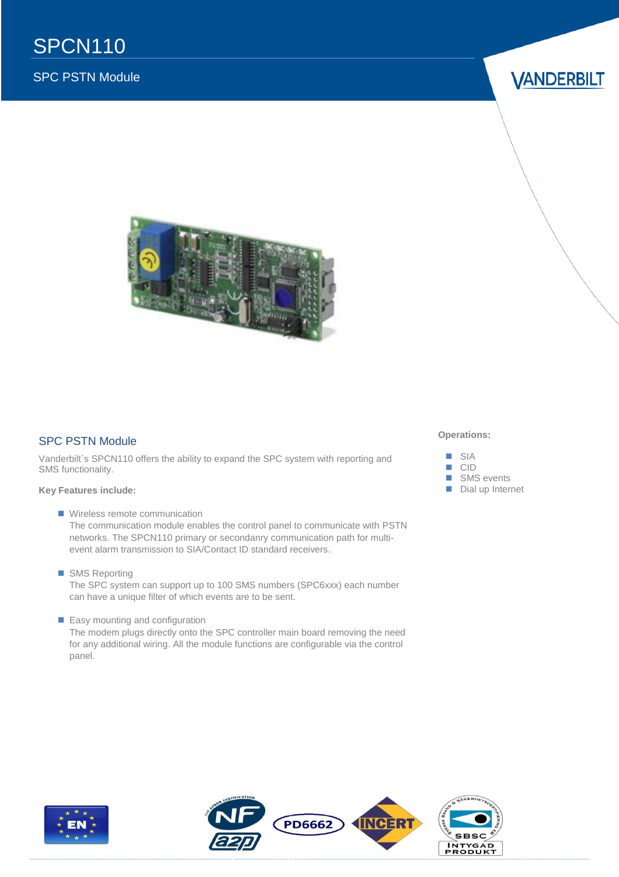### SPC PSTN Module

**VANDERBILT** 



### SPC PSTN Module

Vanderbilt`s SPCN110 offers the ability to expand the SPC system with reporting and SMS functionality.

#### **Key Features include:**

- **Wireless remote communication** The communication module enables the control panel to communicate with PSTN networks. The SPCN110 primary or secondanry communication path for multievent alarm transmission to SIA/Contact ID standard receivers.
- SMS Reporting The SPC system can support up to 100 SMS numbers (SPC6xxx) each number can have a unique filter of which events are to be sent.
- **Easy mounting and configuration**

The modem plugs directly onto the SPC controller main board removing the need for any additional wiring. All the module functions are configurable via the control panel.

#### **Operations:**





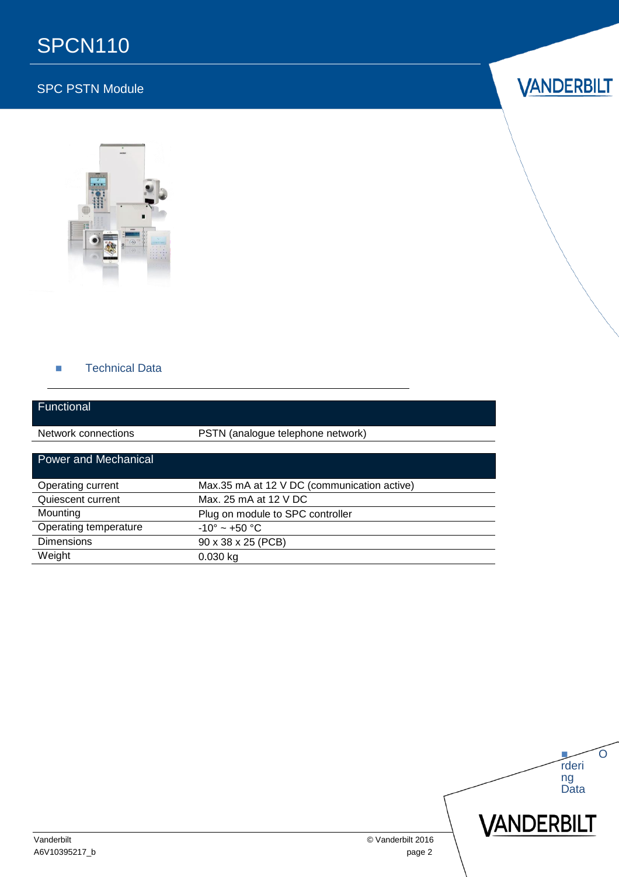# SPCN110

### SPC PSTN Module





### **Technical Data**

| Functional                  |                                             |
|-----------------------------|---------------------------------------------|
| Network connections         | PSTN (analogue telephone network)           |
| <b>Power and Mechanical</b> |                                             |
| Operating current           | Max.35 mA at 12 V DC (communication active) |
| Quiescent current           | Max. 25 mA at 12 V DC                       |
| Mounting                    | Plug on module to SPC controller            |
| Operating temperature       | $-10^{\circ}$ ~ +50 °C                      |
| <b>Dimensions</b>           | 90 x 38 x 25 (PCB)                          |
| Weight                      | $0.030$ kg                                  |

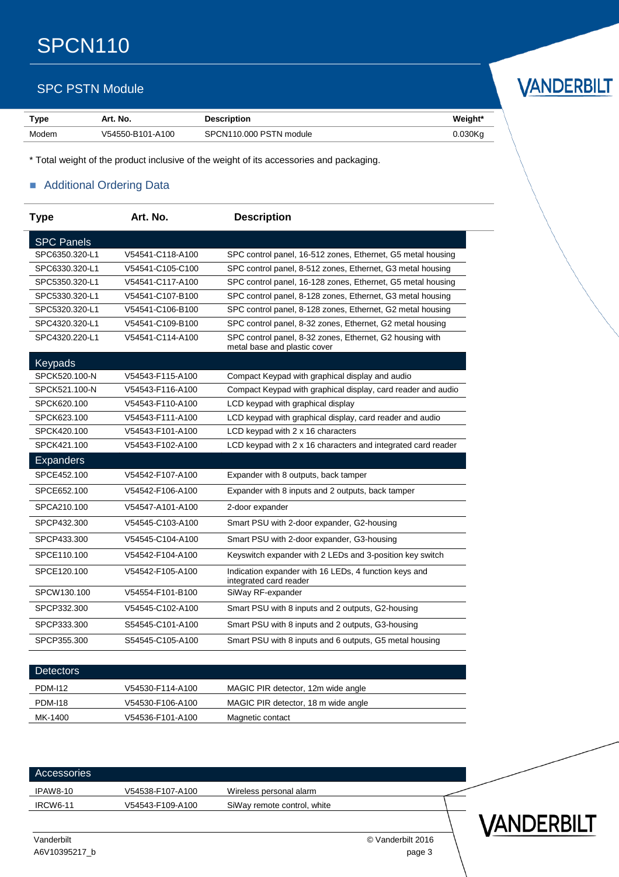# SPCN110

### SPC PSTN Module

| <b>Type</b> | Art. No.         | <b>Description</b>      | Weight*    |
|-------------|------------------|-------------------------|------------|
| Modem       | V54550-B101-A100 | SPCN110.000 PSTN module | $0.030$ Kg |

\* Total weight of the product inclusive of the weight of its accessories and packaging.

### **Additional Ordering Data**

| <b>Type</b>       | Art. No.         | <b>Description</b>                                                                       |
|-------------------|------------------|------------------------------------------------------------------------------------------|
| <b>SPC Panels</b> |                  |                                                                                          |
| SPC6350.320-L1    | V54541-C118-A100 | SPC control panel, 16-512 zones, Ethernet, G5 metal housing                              |
| SPC6330.320-L1    | V54541-C105-C100 | SPC control panel, 8-512 zones, Ethernet, G3 metal housing                               |
| SPC5350.320-L1    | V54541-C117-A100 | SPC control panel, 16-128 zones, Ethernet, G5 metal housing                              |
| SPC5330.320-L1    | V54541-C107-B100 | SPC control panel, 8-128 zones, Ethernet, G3 metal housing                               |
| SPC5320.320-L1    | V54541-C106-B100 | SPC control panel, 8-128 zones, Ethernet, G2 metal housing                               |
| SPC4320.320-L1    | V54541-C109-B100 | SPC control panel, 8-32 zones, Ethernet, G2 metal housing                                |
| SPC4320.220-L1    | V54541-C114-A100 | SPC control panel, 8-32 zones, Ethernet, G2 housing with<br>metal base and plastic cover |
| Keypads           |                  |                                                                                          |
| SPCK520.100-N     | V54543-F115-A100 | Compact Keypad with graphical display and audio                                          |
| SPCK521.100-N     | V54543-F116-A100 | Compact Keypad with graphical display, card reader and audio                             |
| SPCK620.100       | V54543-F110-A100 | LCD keypad with graphical display                                                        |
| SPCK623.100       | V54543-F111-A100 | LCD keypad with graphical display, card reader and audio                                 |
| SPCK420.100       | V54543-F101-A100 | LCD keypad with 2 x 16 characters                                                        |
| SPCK421.100       | V54543-F102-A100 | LCD keypad with 2 x 16 characters and integrated card reader                             |
| <b>Expanders</b>  |                  |                                                                                          |
| SPCE452.100       | V54542-F107-A100 | Expander with 8 outputs, back tamper                                                     |
| SPCE652.100       | V54542-F106-A100 | Expander with 8 inputs and 2 outputs, back tamper                                        |
| SPCA210.100       | V54547-A101-A100 | 2-door expander                                                                          |
| SPCP432.300       | V54545-C103-A100 | Smart PSU with 2-door expander, G2-housing                                               |
| SPCP433.300       | V54545-C104-A100 | Smart PSU with 2-door expander, G3-housing                                               |
| SPCE110.100       | V54542-F104-A100 | Keyswitch expander with 2 LEDs and 3-position key switch                                 |
| SPCE120.100       | V54542-F105-A100 | Indication expander with 16 LEDs, 4 function keys and<br>integrated card reader          |
| SPCW130.100       | V54554-F101-B100 | SiWay RF-expander                                                                        |
| SPCP332.300       | V54545-C102-A100 | Smart PSU with 8 inputs and 2 outputs, G2-housing                                        |
| SPCP333.300       | S54545-C101-A100 | Smart PSU with 8 inputs and 2 outputs, G3-housing                                        |
| SPCP355.300       | S54545-C105-A100 | Smart PSU with 8 inputs and 6 outputs, G5 metal housing                                  |

| <b>Detectors</b> |                  |                                     |  |
|------------------|------------------|-------------------------------------|--|
| <b>PDM-112</b>   | V54530-F114-A100 | MAGIC PIR detector, 12m wide angle  |  |
| <b>PDM-118</b>   | V54530-F106-A100 | MAGIC PIR detector, 18 m wide angle |  |
| MK-1400          | V54536-F101-A100 | Magnetic contact                    |  |
|                  |                  |                                     |  |

Accessories IPAW8-10 V54538-F107-A100 Wireless personal alarm IRCW6-11 V54543-F109-A100 SiWay remote control, white

A6V10395217\_b page 3

Vanderbilt © Vanderbilt 2016



VANDERBILT